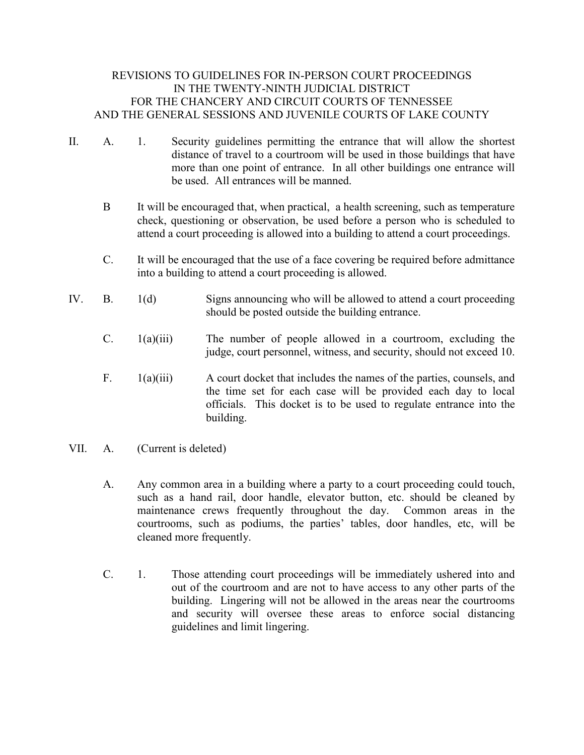## REVISIONS TO GUIDELINES FOR IN-PERSON COURT PROCEEDINGS IN THE TWENTY-NINTH JUDICIAL DISTRICT FOR THE CHANCERY AND CIRCUIT COURTS OF TENNESSEE AND THE GENERAL SESSIONS AND JUVENILE COURTS OF LAKE COUNTY

- II. A. 1. Security guidelines permitting the entrance that will allow the shortest distance of travel to a courtroom will be used in those buildings that have more than one point of entrance. In all other buildings one entrance will be used. All entrances will be manned.
	- B It will be encouraged that, when practical, a health screening, such as temperature check, questioning or observation, be used before a person who is scheduled to attend a court proceeding is allowed into a building to attend a court proceedings.
	- C. It will be encouraged that the use of a face covering be required before admittance into a building to attend a court proceeding is allowed.
- IV. B. 1(d) Signs announcing who will be allowed to attend a court proceeding should be posted outside the building entrance.
	- C. 1(a)(iii) The number of people allowed in a courtroom, excluding the judge, court personnel, witness, and security, should not exceed 10.
	- F. 1(a)(iii) A court docket that includes the names of the parties, counsels, and the time set for each case will be provided each day to local officials. This docket is to be used to regulate entrance into the building.
- VII. A. (Current is deleted)
	- A. Any common area in a building where a party to a court proceeding could touch, such as a hand rail, door handle, elevator button, etc. should be cleaned by maintenance crews frequently throughout the day. Common areas in the courtrooms, such as podiums, the parties' tables, door handles, etc, will be cleaned more frequently.
	- C. 1. Those attending court proceedings will be immediately ushered into and out of the courtroom and are not to have access to any other parts of the building. Lingering will not be allowed in the areas near the courtrooms and security will oversee these areas to enforce social distancing guidelines and limit lingering.